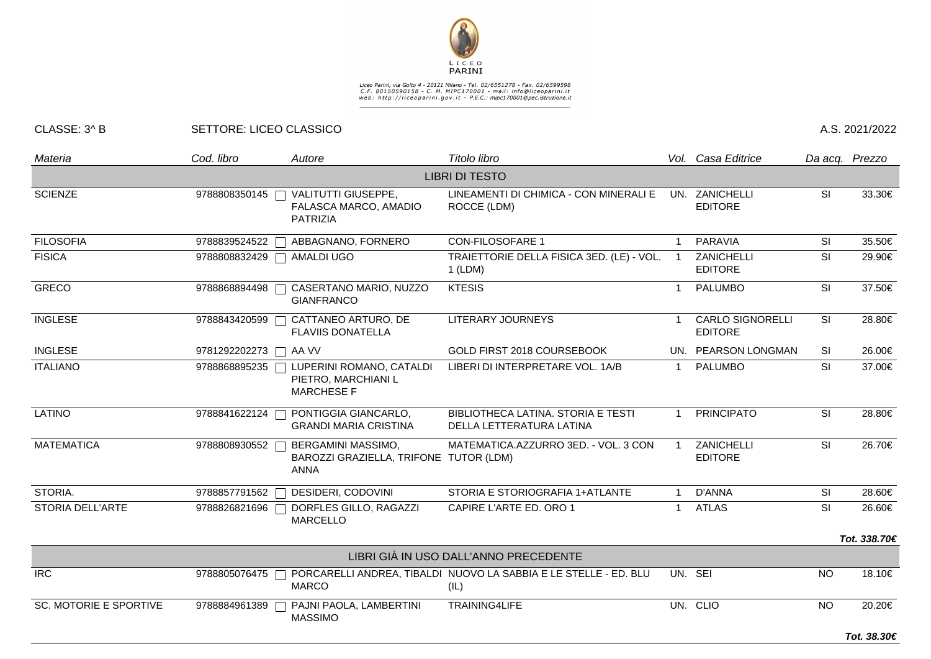

## Liceo Parini, via Goito 4 - 20121 Milano - Tel. 02/6551278 - Fax. 02/6599598<br>C.F. 80150590158 - C. M. MIPC170001 - mail: info@liceoparini.it<br>web: http://liceoparini.gov.it - P.E.C.: mipc170001@pec.istruzione.it

## CLASSE: 3^ B SETTORE: LICEO CLASSICO A.S. 2021/2022

| Materia                       | Cod. libro            | Autore                                                                      | Titolo libro                                                             |                | Vol. Casa Editrice                        |                         | Da acq. Prezzo |
|-------------------------------|-----------------------|-----------------------------------------------------------------------------|--------------------------------------------------------------------------|----------------|-------------------------------------------|-------------------------|----------------|
| <b>LIBRI DI TESTO</b>         |                       |                                                                             |                                                                          |                |                                           |                         |                |
| <b>SCIENZE</b>                |                       | 9788808350145   VALITUTTI GIUSEPPE,<br>FALASCA MARCO, AMADIO<br>PATRIZIA    | LINEAMENTI DI CHIMICA - CON MINERALI E<br>ROCCE (LDM)                    |                | UN. ZANICHELLI<br><b>EDITORE</b>          | SI                      | 33.30€         |
| <b>FILOSOFIA</b>              | 9788839524522         | ABBAGNANO, FORNERO                                                          | <b>CON-FILOSOFARE 1</b>                                                  | 1              | <b>PARAVIA</b>                            | <b>SI</b>               | 35.50€         |
| <b>FISICA</b>                 | 9788808832429         | AMALDI UGO<br>$\Box$                                                        | TRAIETTORIE DELLA FISICA 3ED. (LE) - VOL.<br>$1$ (LDM)                   | $\overline{1}$ | ZANICHELLI<br><b>EDITORE</b>              | SI                      | 29.90€         |
| <b>GRECO</b>                  | 9788868894498 「       | CASERTANO MARIO, NUZZO<br><b>GIANFRANCO</b>                                 | <b>KTESIS</b>                                                            | $\overline{1}$ | <b>PALUMBO</b>                            | $\overline{\mathsf{S}}$ | 37.50€         |
| <b>INGLESE</b>                | 9788843420599         | CATTANEO ARTURO, DE<br>┓<br><b>FLAVIIS DONATELLA</b>                        | <b>LITERARY JOURNEYS</b>                                                 | -1             | <b>CARLO SIGNORELLI</b><br><b>EDITORE</b> | SI                      | 28.80€         |
| <b>INGLESE</b>                | 9781292202273 □ AA VV |                                                                             | GOLD FIRST 2018 COURSEBOOK                                               |                | UN. PEARSON LONGMAN                       | <b>SI</b>               | 26.00€         |
| <b>ITALIANO</b>               | 9788868895235         | LUPERINI ROMANO, CATALDI<br>PIETRO, MARCHIANI L<br><b>MARCHESE F</b>        | LIBERI DI INTERPRETARE VOL. 1A/B                                         | $\mathbf 1$    | <b>PALUMBO</b>                            | <b>SI</b>               | 37.00€         |
| LATINO                        | 9788841622124         | PONTIGGIA GIANCARLO,<br><b>GRANDI MARIA CRISTINA</b>                        | BIBLIOTHECA LATINA. STORIA E TESTI<br>DELLA LETTERATURA LATINA           | $\mathbf{1}$   | <b>PRINCIPATO</b>                         | SI                      | 28.80€         |
| <b>MATEMATICA</b>             | 9788808930552         | BERGAMINI MASSIMO,<br>BAROZZI GRAZIELLA, TRIFONE TUTOR (LDM)<br><b>ANNA</b> | MATEMATICA.AZZURRO 3ED. - VOL. 3 CON                                     | $\overline{1}$ | ZANICHELLI<br><b>EDITORE</b>              | SI                      | 26.70€         |
| STORIA.                       | 9788857791562         | DESIDERI, CODOVINI                                                          | STORIA E STORIOGRAFIA 1+ATLANTE                                          | $\mathbf{1}$   | D'ANNA                                    | <b>SI</b>               | 28.60€         |
| STORIA DELL'ARTE              | 9788826821696         | DORFLES GILLO, RAGAZZI<br><b>MARCELLO</b>                                   | CAPIRE L'ARTE ED. ORO 1                                                  | $\mathbf 1$    | <b>ATLAS</b>                              | SI                      | 26.60€         |
|                               |                       |                                                                             |                                                                          |                |                                           |                         | Tot. 338.70€   |
|                               |                       |                                                                             | LIBRI GIÀ IN USO DALL'ANNO PRECEDENTE                                    |                |                                           |                         |                |
| <b>IRC</b>                    | 9788805076475 「       | $\mathcal{L}$<br><b>MARCO</b>                                               | PORCARELLI ANDREA, TIBALDI NUOVO LA SABBIA E LE STELLE - ED. BLU<br>(IL) |                | UN. SEI                                   | <b>NO</b>               | 18.10€         |
| <b>SC. MOTORIE E SPORTIVE</b> | 9788884961389         | PAJNI PAOLA, LAMBERTINI<br><b>MASSIMO</b>                                   | TRAINING4LIFE                                                            |                | UN. CLIO                                  | <b>NO</b>               | 20.20€         |
|                               |                       |                                                                             |                                                                          |                |                                           |                         | Tot. 38.30€    |